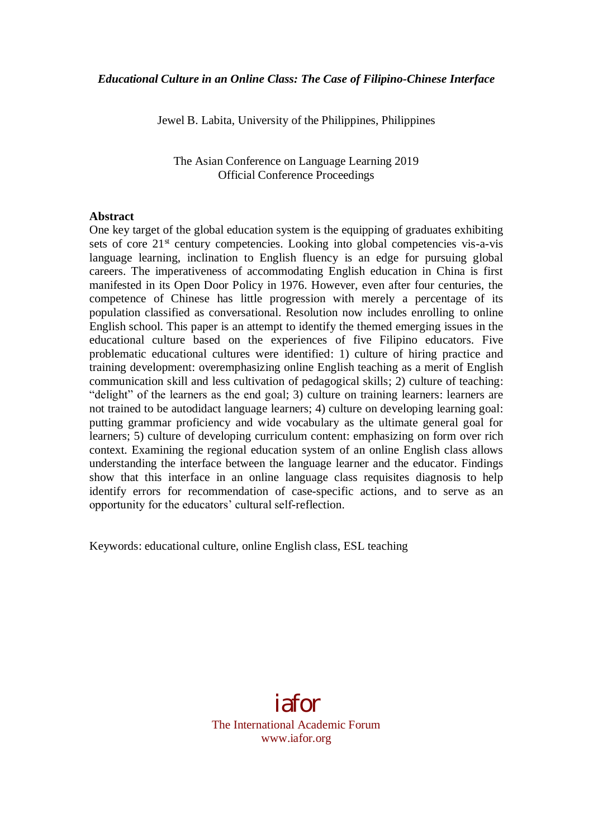Jewel B. Labita, University of the Philippines, Philippines

The Asian Conference on Language Learning 2019 Official Conference Proceedings

#### **Abstract**

One key target of the global education system is the equipping of graduates exhibiting sets of core  $21<sup>st</sup>$  century competencies. Looking into global competencies vis-a-vis language learning, inclination to English fluency is an edge for pursuing global careers. The imperativeness of accommodating English education in China is first manifested in its Open Door Policy in 1976. However, even after four centuries, the competence of Chinese has little progression with merely a percentage of its population classified as conversational. Resolution now includes enrolling to online English school. This paper is an attempt to identify the themed emerging issues in the educational culture based on the experiences of five Filipino educators. Five problematic educational cultures were identified: 1) culture of hiring practice and training development: overemphasizing online English teaching as a merit of English communication skill and less cultivation of pedagogical skills; 2) culture of teaching: "delight" of the learners as the end goal; 3) culture on training learners: learners are not trained to be autodidact language learners; 4) culture on developing learning goal: putting grammar proficiency and wide vocabulary as the ultimate general goal for learners; 5) culture of developing curriculum content: emphasizing on form over rich context. Examining the regional education system of an online English class allows understanding the interface between the language learner and the educator. Findings show that this interface in an online language class requisites diagnosis to help identify errors for recommendation of case-specific actions, and to serve as an opportunity for the educators' cultural self-reflection.

Keywords: educational culture, online English class, ESL teaching

iafor The International Academic Forum www.iafor.org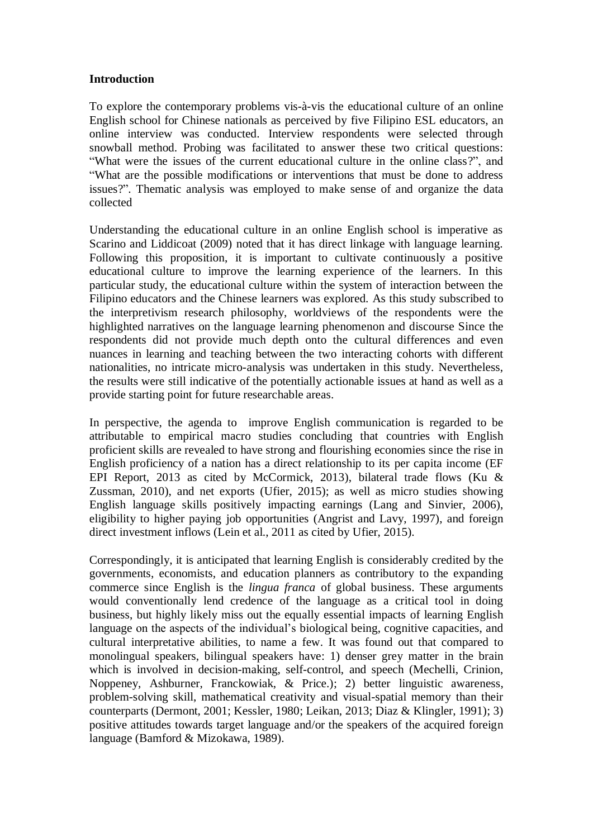### **Introduction**

To explore the contemporary problems vis-à-vis the educational culture of an online English school for Chinese nationals as perceived by five Filipino ESL educators, an online interview was conducted. Interview respondents were selected through snowball method. Probing was facilitated to answer these two critical questions: "What were the issues of the current educational culture in the online class?", and "What are the possible modifications or interventions that must be done to address issues?". Thematic analysis was employed to make sense of and organize the data collected

Understanding the educational culture in an online English school is imperative as Scarino and Liddicoat (2009) noted that it has direct linkage with language learning. Following this proposition, it is important to cultivate continuously a positive educational culture to improve the learning experience of the learners. In this particular study, the educational culture within the system of interaction between the Filipino educators and the Chinese learners was explored. As this study subscribed to the interpretivism research philosophy, worldviews of the respondents were the highlighted narratives on the language learning phenomenon and discourse Since the respondents did not provide much depth onto the cultural differences and even nuances in learning and teaching between the two interacting cohorts with different nationalities, no intricate micro-analysis was undertaken in this study. Nevertheless, the results were still indicative of the potentially actionable issues at hand as well as a provide starting point for future researchable areas.

In perspective, the agenda to improve English communication is regarded to be attributable to empirical macro studies concluding that countries with English proficient skills are revealed to have strong and flourishing economies since the rise in English proficiency of a nation has a direct relationship to its per capita income (EF EPI Report, 2013 as cited by McCormick, 2013), bilateral trade flows (Ku & Zussman, 2010), and net exports (Ufier, 2015); as well as micro studies showing English language skills positively impacting earnings (Lang and Sinvier, 2006), eligibility to higher paying job opportunities (Angrist and Lavy, 1997), and foreign direct investment inflows (Lein et al., 2011 as cited by Ufier, 2015).

Correspondingly, it is anticipated that learning English is considerably credited by the governments, economists, and education planners as contributory to the expanding commerce since English is the *lingua franca* of global business. These arguments would conventionally lend credence of the language as a critical tool in doing business, but highly likely miss out the equally essential impacts of learning English language on the aspects of the individual's biological being, cognitive capacities, and cultural interpretative abilities, to name a few. It was found out that compared to monolingual speakers, bilingual speakers have: 1) denser grey matter in the brain which is involved in decision-making, self-control, and speech (Mechelli, Crinion, Noppeney, Ashburner, Franckowiak, & Price.); 2) better linguistic awareness, problem-solving skill, mathematical creativity and visual-spatial memory than their counterparts (Dermont, 2001; Kessler, 1980; Leikan, 2013; Diaz & Klingler, 1991); 3) positive attitudes towards target language and/or the speakers of the acquired foreign language (Bamford & Mizokawa, 1989).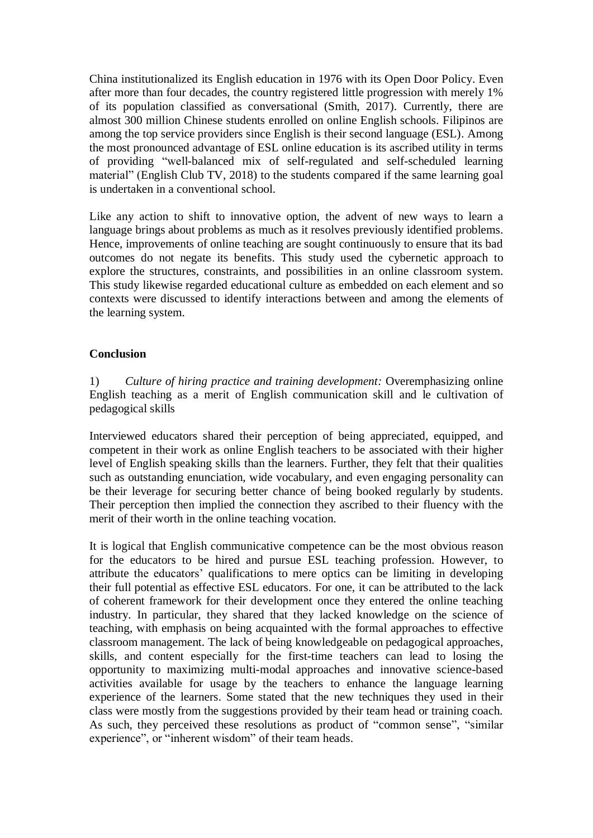China institutionalized its English education in 1976 with its Open Door Policy. Even after more than four decades, the country registered little progression with merely 1% of its population classified as conversational (Smith, 2017). Currently, there are almost 300 million Chinese students enrolled on online English schools. Filipinos are among the top service providers since English is their second language (ESL). Among the most pronounced advantage of ESL online education is its ascribed utility in terms of providing "well-balanced mix of self-regulated and self-scheduled learning material" (English Club TV, 2018) to the students compared if the same learning goal is undertaken in a conventional school.

Like any action to shift to innovative option, the advent of new ways to learn a language brings about problems as much as it resolves previously identified problems. Hence, improvements of online teaching are sought continuously to ensure that its bad outcomes do not negate its benefits. This study used the cybernetic approach to explore the structures, constraints, and possibilities in an online classroom system. This study likewise regarded educational culture as embedded on each element and so contexts were discussed to identify interactions between and among the elements of the learning system.

# **Conclusion**

1) *Culture of hiring practice and training development:* Overemphasizing online English teaching as a merit of English communication skill and le cultivation of pedagogical skills

Interviewed educators shared their perception of being appreciated, equipped, and competent in their work as online English teachers to be associated with their higher level of English speaking skills than the learners. Further, they felt that their qualities such as outstanding enunciation, wide vocabulary, and even engaging personality can be their leverage for securing better chance of being booked regularly by students. Their perception then implied the connection they ascribed to their fluency with the merit of their worth in the online teaching vocation.

It is logical that English communicative competence can be the most obvious reason for the educators to be hired and pursue ESL teaching profession. However, to attribute the educators' qualifications to mere optics can be limiting in developing their full potential as effective ESL educators. For one, it can be attributed to the lack of coherent framework for their development once they entered the online teaching industry. In particular, they shared that they lacked knowledge on the science of teaching, with emphasis on being acquainted with the formal approaches to effective classroom management. The lack of being knowledgeable on pedagogical approaches, skills, and content especially for the first-time teachers can lead to losing the opportunity to maximizing multi-modal approaches and innovative science-based activities available for usage by the teachers to enhance the language learning experience of the learners. Some stated that the new techniques they used in their class were mostly from the suggestions provided by their team head or training coach. As such, they perceived these resolutions as product of "common sense", "similar experience", or "inherent wisdom" of their team heads.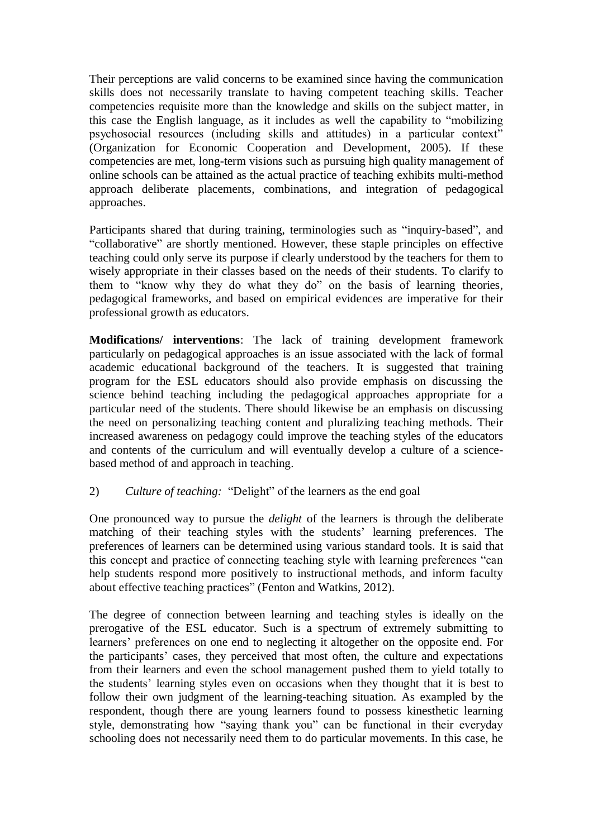Their perceptions are valid concerns to be examined since having the communication skills does not necessarily translate to having competent teaching skills. Teacher competencies requisite more than the knowledge and skills on the subject matter, in this case the English language, as it includes as well the capability to "mobilizing psychosocial resources (including skills and attitudes) in a particular context" (Organization for Economic Cooperation and Development, 2005). If these competencies are met, long-term visions such as pursuing high quality management of online schools can be attained as the actual practice of teaching exhibits multi-method approach deliberate placements, combinations, and integration of pedagogical approaches.

Participants shared that during training, terminologies such as "inquiry-based", and "collaborative" are shortly mentioned. However, these staple principles on effective teaching could only serve its purpose if clearly understood by the teachers for them to wisely appropriate in their classes based on the needs of their students. To clarify to them to "know why they do what they do" on the basis of learning theories, pedagogical frameworks, and based on empirical evidences are imperative for their professional growth as educators.

**Modifications/ interventions**: The lack of training development framework particularly on pedagogical approaches is an issue associated with the lack of formal academic educational background of the teachers. It is suggested that training program for the ESL educators should also provide emphasis on discussing the science behind teaching including the pedagogical approaches appropriate for a particular need of the students. There should likewise be an emphasis on discussing the need on personalizing teaching content and pluralizing teaching methods. Their increased awareness on pedagogy could improve the teaching styles of the educators and contents of the curriculum and will eventually develop a culture of a sciencebased method of and approach in teaching.

# 2) *Culture of teaching:* "Delight" of the learners as the end goal

One pronounced way to pursue the *delight* of the learners is through the deliberate matching of their teaching styles with the students' learning preferences. The preferences of learners can be determined using various standard tools. It is said that this concept and practice of connecting teaching style with learning preferences "can help students respond more positively to instructional methods, and inform faculty about effective teaching practices" (Fenton and Watkins, 2012).

The degree of connection between learning and teaching styles is ideally on the prerogative of the ESL educator. Such is a spectrum of extremely submitting to learners' preferences on one end to neglecting it altogether on the opposite end. For the participants' cases, they perceived that most often, the culture and expectations from their learners and even the school management pushed them to yield totally to the students' learning styles even on occasions when they thought that it is best to follow their own judgment of the learning-teaching situation. As exampled by the respondent, though there are young learners found to possess kinesthetic learning style, demonstrating how "saying thank you" can be functional in their everyday schooling does not necessarily need them to do particular movements. In this case, he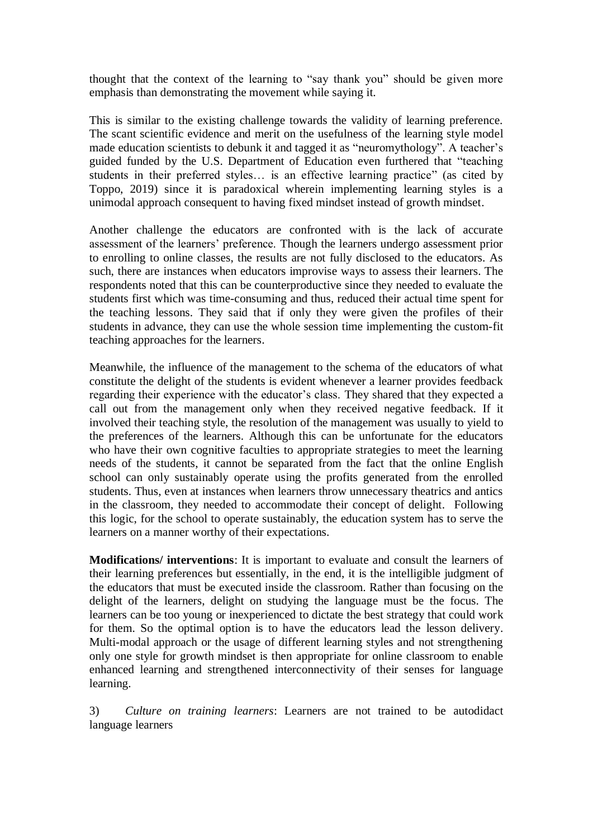thought that the context of the learning to "say thank you" should be given more emphasis than demonstrating the movement while saying it.

This is similar to the existing challenge towards the validity of learning preference. The scant scientific evidence and merit on the usefulness of the learning style model made education scientists to debunk it and tagged it as "neuromythology". A teacher's guided funded by the U.S. Department of Education even furthered that "teaching students in their preferred styles… is an effective learning practice" (as cited by Toppo, 2019) since it is paradoxical wherein implementing learning styles is a unimodal approach consequent to having fixed mindset instead of growth mindset.

Another challenge the educators are confronted with is the lack of accurate assessment of the learners' preference. Though the learners undergo assessment prior to enrolling to online classes, the results are not fully disclosed to the educators. As such, there are instances when educators improvise ways to assess their learners. The respondents noted that this can be counterproductive since they needed to evaluate the students first which was time-consuming and thus, reduced their actual time spent for the teaching lessons. They said that if only they were given the profiles of their students in advance, they can use the whole session time implementing the custom-fit teaching approaches for the learners.

Meanwhile, the influence of the management to the schema of the educators of what constitute the delight of the students is evident whenever a learner provides feedback regarding their experience with the educator's class. They shared that they expected a call out from the management only when they received negative feedback. If it involved their teaching style, the resolution of the management was usually to yield to the preferences of the learners. Although this can be unfortunate for the educators who have their own cognitive faculties to appropriate strategies to meet the learning needs of the students, it cannot be separated from the fact that the online English school can only sustainably operate using the profits generated from the enrolled students. Thus, even at instances when learners throw unnecessary theatrics and antics in the classroom, they needed to accommodate their concept of delight. Following this logic, for the school to operate sustainably, the education system has to serve the learners on a manner worthy of their expectations.

**Modifications/ interventions**: It is important to evaluate and consult the learners of their learning preferences but essentially, in the end, it is the intelligible judgment of the educators that must be executed inside the classroom. Rather than focusing on the delight of the learners, delight on studying the language must be the focus. The learners can be too young or inexperienced to dictate the best strategy that could work for them. So the optimal option is to have the educators lead the lesson delivery. Multi-modal approach or the usage of different learning styles and not strengthening only one style for growth mindset is then appropriate for online classroom to enable enhanced learning and strengthened interconnectivity of their senses for language learning.

3) *Culture on training learners*: Learners are not trained to be autodidact language learners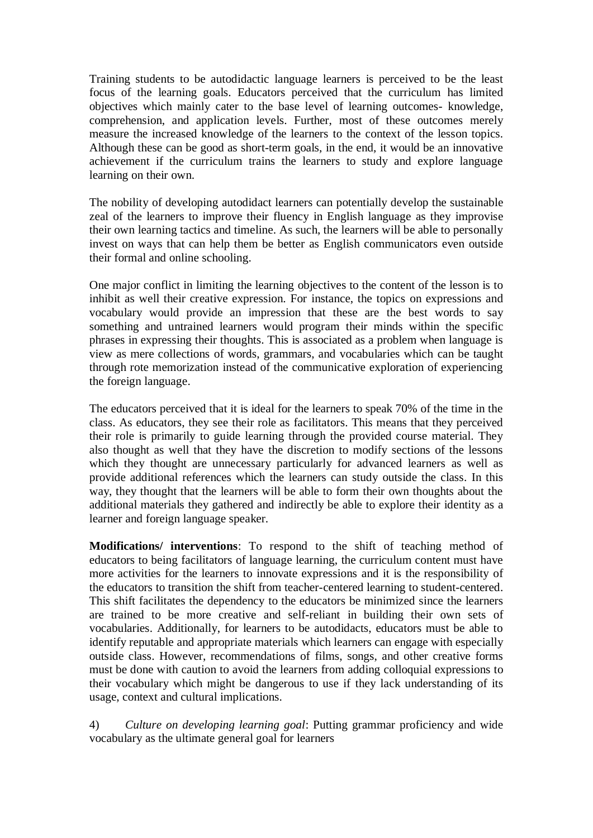Training students to be autodidactic language learners is perceived to be the least focus of the learning goals. Educators perceived that the curriculum has limited objectives which mainly cater to the base level of learning outcomes- knowledge, comprehension, and application levels. Further, most of these outcomes merely measure the increased knowledge of the learners to the context of the lesson topics. Although these can be good as short-term goals, in the end, it would be an innovative achievement if the curriculum trains the learners to study and explore language learning on their own.

The nobility of developing autodidact learners can potentially develop the sustainable zeal of the learners to improve their fluency in English language as they improvise their own learning tactics and timeline. As such, the learners will be able to personally invest on ways that can help them be better as English communicators even outside their formal and online schooling.

One major conflict in limiting the learning objectives to the content of the lesson is to inhibit as well their creative expression. For instance, the topics on expressions and vocabulary would provide an impression that these are the best words to say something and untrained learners would program their minds within the specific phrases in expressing their thoughts. This is associated as a problem when language is view as mere collections of words, grammars, and vocabularies which can be taught through rote memorization instead of the communicative exploration of experiencing the foreign language.

The educators perceived that it is ideal for the learners to speak 70% of the time in the class. As educators, they see their role as facilitators. This means that they perceived their role is primarily to guide learning through the provided course material. They also thought as well that they have the discretion to modify sections of the lessons which they thought are unnecessary particularly for advanced learners as well as provide additional references which the learners can study outside the class. In this way, they thought that the learners will be able to form their own thoughts about the additional materials they gathered and indirectly be able to explore their identity as a learner and foreign language speaker.

**Modifications/ interventions**: To respond to the shift of teaching method of educators to being facilitators of language learning, the curriculum content must have more activities for the learners to innovate expressions and it is the responsibility of the educators to transition the shift from teacher-centered learning to student-centered. This shift facilitates the dependency to the educators be minimized since the learners are trained to be more creative and self-reliant in building their own sets of vocabularies. Additionally, for learners to be autodidacts, educators must be able to identify reputable and appropriate materials which learners can engage with especially outside class. However, recommendations of films, songs, and other creative forms must be done with caution to avoid the learners from adding colloquial expressions to their vocabulary which might be dangerous to use if they lack understanding of its usage, context and cultural implications.

4) *Culture on developing learning goal*: Putting grammar proficiency and wide vocabulary as the ultimate general goal for learners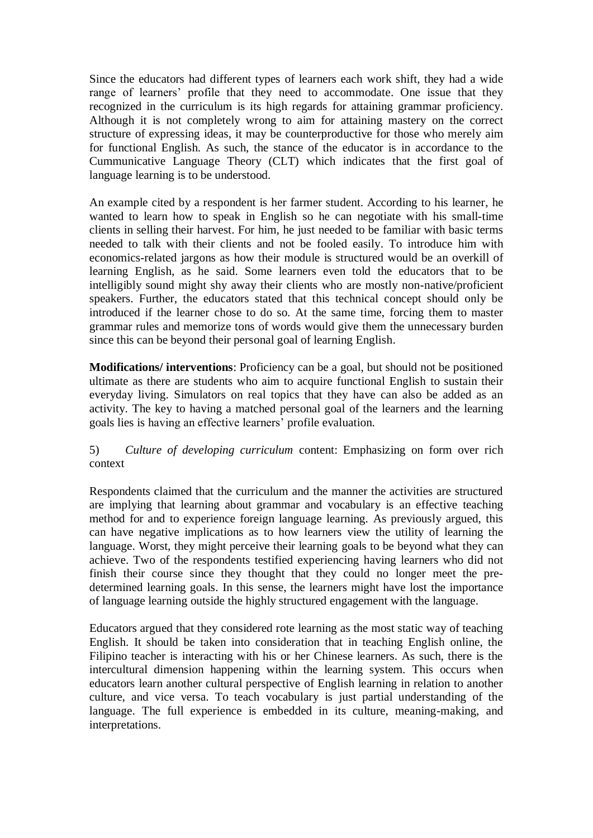Since the educators had different types of learners each work shift, they had a wide range of learners' profile that they need to accommodate. One issue that they recognized in the curriculum is its high regards for attaining grammar proficiency. Although it is not completely wrong to aim for attaining mastery on the correct structure of expressing ideas, it may be counterproductive for those who merely aim for functional English. As such, the stance of the educator is in accordance to the Cummunicative Language Theory (CLT) which indicates that the first goal of language learning is to be understood.

An example cited by a respondent is her farmer student. According to his learner, he wanted to learn how to speak in English so he can negotiate with his small-time clients in selling their harvest. For him, he just needed to be familiar with basic terms needed to talk with their clients and not be fooled easily. To introduce him with economics-related jargons as how their module is structured would be an overkill of learning English, as he said. Some learners even told the educators that to be intelligibly sound might shy away their clients who are mostly non-native/proficient speakers. Further, the educators stated that this technical concept should only be introduced if the learner chose to do so. At the same time, forcing them to master grammar rules and memorize tons of words would give them the unnecessary burden since this can be beyond their personal goal of learning English.

**Modifications/ interventions**: Proficiency can be a goal, but should not be positioned ultimate as there are students who aim to acquire functional English to sustain their everyday living. Simulators on real topics that they have can also be added as an activity. The key to having a matched personal goal of the learners and the learning goals lies is having an effective learners' profile evaluation.

# 5) *Culture of developing curriculum* content: Emphasizing on form over rich context

Respondents claimed that the curriculum and the manner the activities are structured are implying that learning about grammar and vocabulary is an effective teaching method for and to experience foreign language learning. As previously argued, this can have negative implications as to how learners view the utility of learning the language. Worst, they might perceive their learning goals to be beyond what they can achieve. Two of the respondents testified experiencing having learners who did not finish their course since they thought that they could no longer meet the predetermined learning goals. In this sense, the learners might have lost the importance of language learning outside the highly structured engagement with the language.

Educators argued that they considered rote learning as the most static way of teaching English. It should be taken into consideration that in teaching English online, the Filipino teacher is interacting with his or her Chinese learners. As such, there is the intercultural dimension happening within the learning system. This occurs when educators learn another cultural perspective of English learning in relation to another culture, and vice versa. To teach vocabulary is just partial understanding of the language. The full experience is embedded in its culture, meaning-making, and interpretations.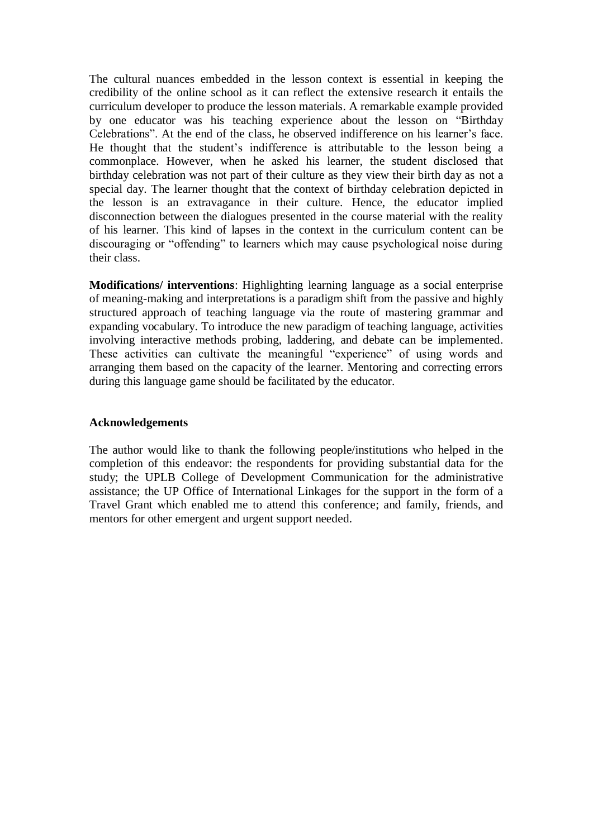The cultural nuances embedded in the lesson context is essential in keeping the credibility of the online school as it can reflect the extensive research it entails the curriculum developer to produce the lesson materials. A remarkable example provided by one educator was his teaching experience about the lesson on "Birthday Celebrations". At the end of the class, he observed indifference on his learner's face. He thought that the student's indifference is attributable to the lesson being a commonplace. However, when he asked his learner, the student disclosed that birthday celebration was not part of their culture as they view their birth day as not a special day. The learner thought that the context of birthday celebration depicted in the lesson is an extravagance in their culture. Hence, the educator implied disconnection between the dialogues presented in the course material with the reality of his learner. This kind of lapses in the context in the curriculum content can be discouraging or "offending" to learners which may cause psychological noise during their class.

**Modifications/ interventions**: Highlighting learning language as a social enterprise of meaning-making and interpretations is a paradigm shift from the passive and highly structured approach of teaching language via the route of mastering grammar and expanding vocabulary. To introduce the new paradigm of teaching language, activities involving interactive methods probing, laddering, and debate can be implemented. These activities can cultivate the meaningful "experience" of using words and arranging them based on the capacity of the learner. Mentoring and correcting errors during this language game should be facilitated by the educator.

### **Acknowledgements**

The author would like to thank the following people/institutions who helped in the completion of this endeavor: the respondents for providing substantial data for the study; the UPLB College of Development Communication for the administrative assistance; the UP Office of International Linkages for the support in the form of a Travel Grant which enabled me to attend this conference; and family, friends, and mentors for other emergent and urgent support needed.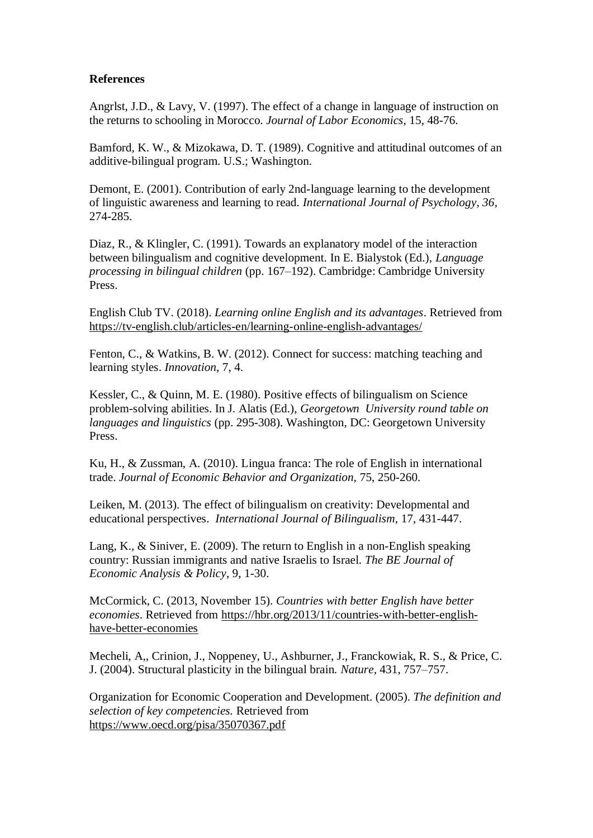# **References**

Angrlst, J.D., & Lavy, V. (1997). The effect of a change in language of instruction on the returns to schooling in Morocco. *Journal of Labor Economics,* 15, 48-76.

Bamford, K. W., & Mizokawa, D. T. (1989). Cognitive and attitudinal outcomes of an additive-bilingual program. U.S.; Washington.

Demont, E. (2001). Contribution of early 2nd-language learning to the development of linguistic awareness and learning to read. *International Journal of Psychology, 36*, 274-285.

Diaz, R., & Klingler, C. (1991). Towards an explanatory model of the interaction between bilingualism and cognitive development. In E. Bialystok (Ed.), *Language processing in bilingual children* (pp. 167–192). Cambridge: Cambridge University Press.

English Club TV. (2018). *Learning online English and its advantages*. Retrieved from https://tv-english.club/articles-en/learning-online-english-advantages/

Fenton, C., & Watkins, B. W. (2012). Connect for success: matching teaching and learning styles. *Innovation*, 7, 4.

Kessler, C., & Quinn, M. E. (1980). Positive effects of bilingualism on Science problem-solving abilities. In J. Alatis (Ed.), *Georgetown University round table on languages and linguistics* (pp. 295-308). Washington, DC: Georgetown University Press.

Ku, H., & Zussman, A. (2010). Lingua franca: The role of English in international trade. *Journal of Economic Behavior and Organization,* 75, 250-260.

Leiken, M. (2013). The effect of bilingualism on creativity: Developmental and educational perspectives. *International Journal of Bilingualism,* 17, 431-447.

Lang, K., & Siniver, E. (2009). The return to English in a non-English speaking country: Russian immigrants and native Israelis to Israel. *The BE Journal of Economic Analysis & Policy*, 9, 1-30.

McCormick, C. (2013, November 15). *Countries with better English have better economies*. Retrieved from https://hbr.org/2013/11/countries-with-better-englishhave-better-economies

Mecheli, A,, Crinion, J., Noppeney, U., Ashburner, J., Franckowiak, R. S., & Price, C. J. (2004). Structural plasticity in the bilingual brain. *Nature,* 431, 757–757.

Organization for Economic Cooperation and Development. (2005). *The definition and selection of key competencies.* Retrieved from https://www.oecd.org/pisa/35070367.pdf